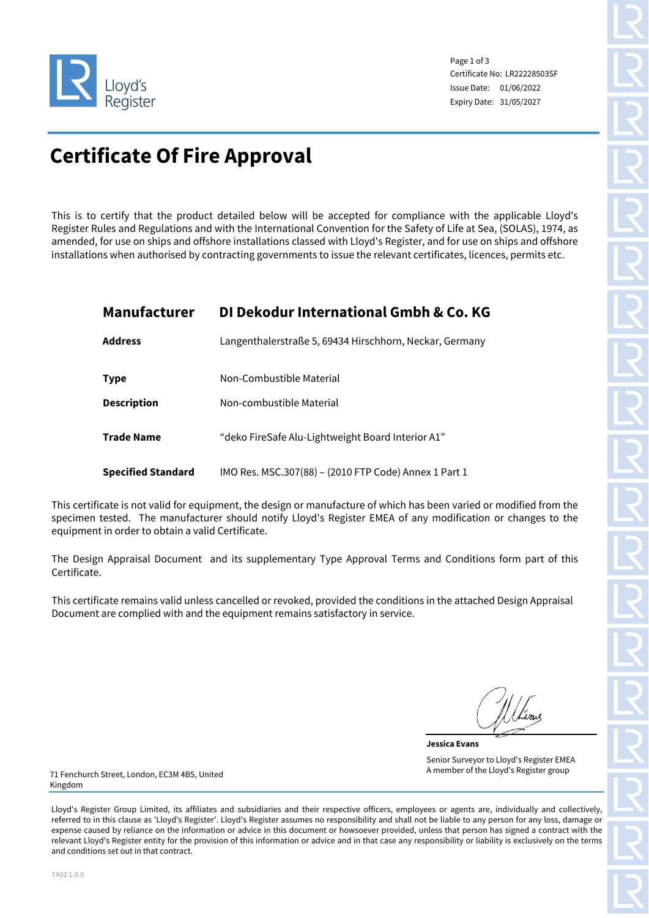

Page 1 of 3 Certificate No: LR22228503SF Issue Date: 01/06/2022 Expiry Date: 31/05/2027

# **Certificate Of Fire Approval**

This is to certify that the product detailed below will be accepted for compliance with the applicable Lloyd's Register Rules and Regulations and with the International Convention for the Safety of Life at Sea, (SOLAS), 1974, as amended, for use on ships and offshore installations classed with Lloyd's Register, and for use on ships and offshore installations when authorised by contracting governments to issue the relevant certificates, licences, permits etc.

## **Manufacturer DI Dekodur International Gmbh & Co. KG**

| <b>Address</b>            | Langenthalerstraße 5, 69434 Hirschhorn, Neckar, Germany |
|---------------------------|---------------------------------------------------------|
| <b>Type</b>               | Non-Combustible Material                                |
| <b>Description</b>        | Non-combustible Material                                |
| <b>Trade Name</b>         | "deko FireSafe Alu-Lightweight Board Interior A1"       |
| <b>Specified Standard</b> | IMO Res. MSC.307(88) - (2010 FTP Code) Annex 1 Part 1   |

This certificate is not valid for equipment, the design or manufacture of which has been varied or modified from the specimen tested. The manufacturer should notify Lloyd's Register EMEA of any modification or changes to the equipment in order to obtain a valid Certificate.

The Design Appraisal Document and its supplementary Type Approval Terms and Conditions form part of this Certificate.

This certificate remains valid unless cancelled or revoked, provided the conditions in the attached Design Appraisal Document are complied with and the equipment remains satisfactory in service.

**Jessica Evans** Senior Surveyor to Lloyd's Register EMEA A member of the Lloyd's Register group

71 Fenchurch Street, London, EC3M 4BS, United Kingdom

Lloyd's Register Group Limited, its affiliates and subsidiaries and their respective officers, employees or agents are, individually and collectively, referred to in this clause as 'Lloyd's Register'. Lloyd's Register assumes no responsibility and shall not be liable to any person for any loss, damage or expense caused by reliance on the information or advice in this document or howsoever provided, unless that person has signed a contract with the relevant Lloyd's Register entity for the provision of this information or advice and in that case any responsibility or liability is exclusively on the terms and conditions set out in that contract.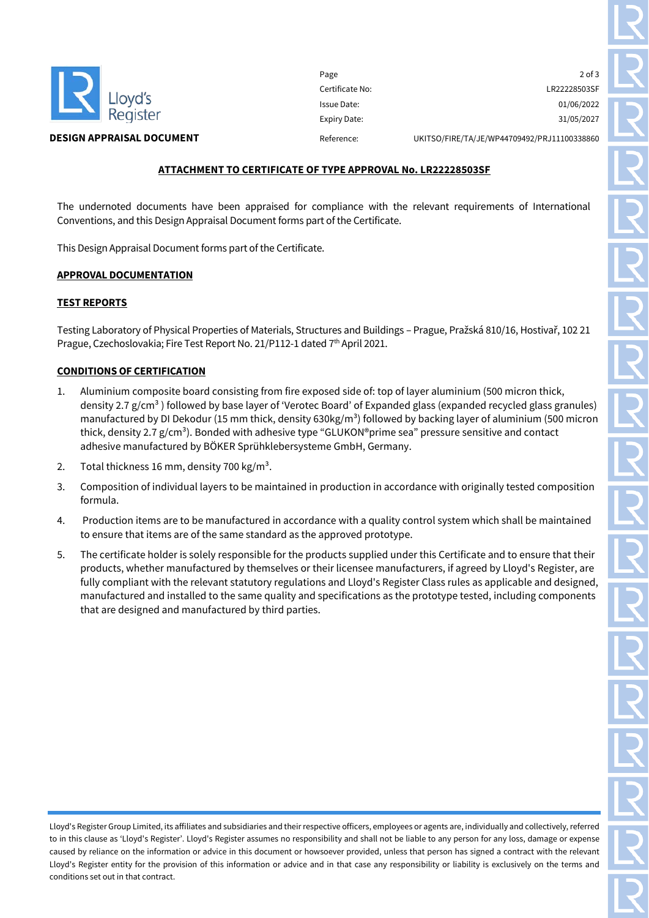

Page 2 of 3 Certificate No: LR22228503SF Issue Date: 01/06/2022 Expiry Date: 31/05/2027

#### **DESIGN APPRAISAL DOCUMENT** Reference: UKITSO/FIRE/TA/JE/WP44709492/PRJ11100338860

#### **ATTACHMENT TO CERTIFICATE OF TYPE APPROVAL No. LR22228503SF**

The undernoted documents have been appraised for compliance with the relevant requirements of International Conventions, and this Design Appraisal Document forms part of the Certificate.

This Design Appraisal Document forms part of the Certificate.

#### **APPROVAL DOCUMENTATION**

#### **TEST REPORTS**

Testing Laboratory of Physical Properties of Materials, Structures and Buildings – Prague, Pražská 810/16, Hostivař, 102 21 Prague, Czechoslovakia; Fire Test Report No. 21/P112-1 dated 7<sup>th</sup> April 2021.

#### **CONDITIONS OF CERTIFICATION**

- 1. Aluminium composite board consisting from fire exposed side of: top of layer aluminium (500 micron thick, density 2.7 g/cm<sup>3</sup> ) followed by base layer of 'Verotec Board' of Expanded glass (expanded recycled glass granules) manufactured by DI Dekodur (15 mm thick, density 630kg/m<sup>3</sup>) followed by backing layer of aluminium (500 micron thick, density 2.7  $g/cm<sup>3</sup>$ ). Bonded with adhesive type "GLUKON®prime sea" pressure sensitive and contact adhesive manufactured by BÖKER Sprühklebersysteme GmbH, Germany.
- 2. Total thickness 16 mm, density 700 kg/m<sup>3</sup>.
- 3. Composition of individual layers to be maintained in production in accordance with originally tested composition formula.
- 4. Production items are to be manufactured in accordance with a quality control system which shall be maintained to ensure that items are of the same standard as the approved prototype.
- 5. The certificate holder is solely responsible for the products supplied under this Certificate and to ensure that their products, whether manufactured by themselves or their licensee manufacturers, if agreed by Lloyd's Register, are fully compliant with the relevant statutory regulations and Lloyd's Register Class rules as applicable and designed, manufactured and installed to the same quality and specifications as the prototype tested, including components that are designed and manufactured by third parties.

Lloyd's Register Group Limited, its affiliates and subsidiaries and their respective officers, employees or agents are, individually and collectively, referred to in this clause as 'Lloyd's Register'. Lloyd's Register assumes no responsibility and shall not be liable to any person for any loss, damage or expense caused by reliance on the information or advice in this document or howsoever provided, unless that person has signed a contract with the relevant Lloyd's Register entity for the provision of this information or advice and in that case any responsibility or liability is exclusively on the terms and conditions set out in that contract.